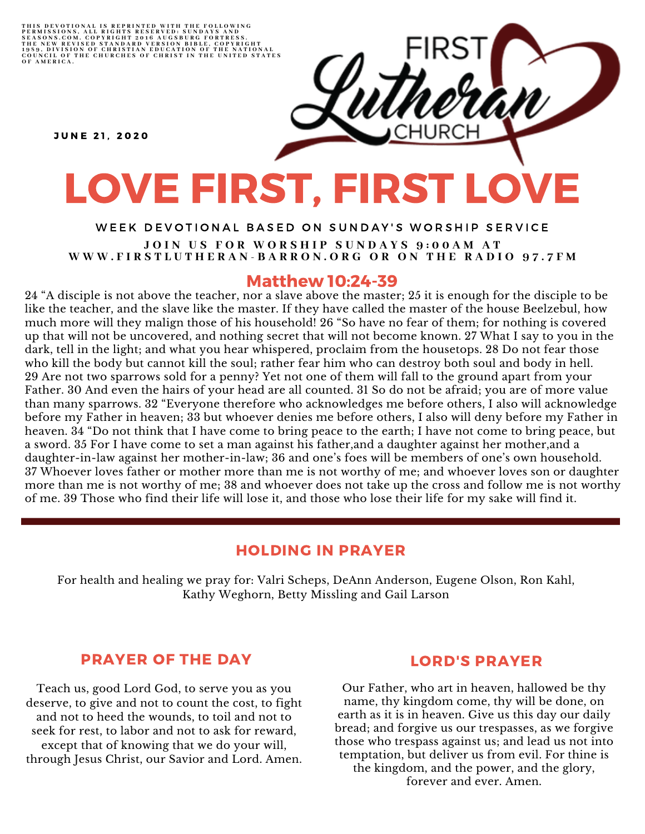THIS DEVOTIONAL IS REPRINTED WITH THE FOLLOWING<br>PERMISSIONS, ALL RIGHTS RESERVED: SUNDAYS AND<br>SEASONS.COM. COPYRIGHT 2016 AUGSBURG FORTRESS.<br>THE NEW REVISED STANDARD VERSION BIBLE, COPYRIGHT<br>1959, DIVISION OF CHRISTIAN EDU

**JUNE 21, 2020** 

# LOVE FIRST, FIRST LOVE

## WEEK DEVOTIONAL BASED ON SUNDAY'S WORSHIP SERVICE JOIN US FOR WORSHIP SUNDAYS 9:00AM AT WWW.FIRSTLUTHERAN-BARRON.ORG OR ON THE RADIO 97.7FM

## Matthew 10:24-39

24 "A disciple is not above the teacher, nor a slave above the master; 25 it is enough for the disciple to be like the teacher, and the slave like the master. If they have called the master of the house Beelzebul, how much more will they malign those of his household! 26 "So have no fear of them; for nothing is covered up that will not be uncovered, and nothing secret that will not become known. 27 What I say to you in the dark, tell in the light; and what you hear whispered, proclaim from the housetops. 28 Do not fear those who kill the body but cannot kill the soul; rather fear him who can destroy both soul and body in hell. 29 Are not two sparrows sold for a penny? Yet not one of them will fall to the ground apart from your Father. 30 And even the hairs of your head are all counted. 31 So do not be afraid; you are of more value than many sparrows. 32 "Everyone therefore who acknowledges me before others, I also will acknowledge before my Father in heaven; 33 but whoever denies me before others, I also will deny before my Father in heaven. 34 "Do not think that I have come to bring peace to the earth; I have not come to bring peace, but a sword. 35 For I have come to set a man against his father,and a daughter against her mother,and a daughter-in-law against her mother-in-law; 36 and one's foes will be members of one's own household. 37 Whoever loves father or mother more than me is not worthy of me; and whoever loves son or daughter more than me is not worthy of me; 38 and whoever does not take up the cross and follow me is not worthy of me. 39 Those who find their life will lose it, and those who lose their life for my sake will find it.

## HOLDING IN PRAYER

For health and healing we pray for: Valri Scheps, DeAnn Anderson, Eugene Olson, Ron Kahl, Kathy Weghorn, Betty Missling and Gail Larson

# PRAYER OF THE DAY

Teach us, good Lord God, to serve you as you deserve, to give and not to count the cost, to fight and not to heed the wounds, to toil and not to seek for rest, to labor and not to ask for reward, except that of knowing that we do your will, through Jesus Christ, our Savior and Lord. Amen.

## LORD'S PRAYER

Our Father, who art in heaven, hallowed be thy name, thy kingdom come, thy will be done, on earth as it is in heaven. Give us this day our daily bread; and forgive us our trespasses, as we forgive those who trespass against us; and lead us not into temptation, but deliver us from evil. For thine is the kingdom, and the power, and the glory, forever and ever. Amen.